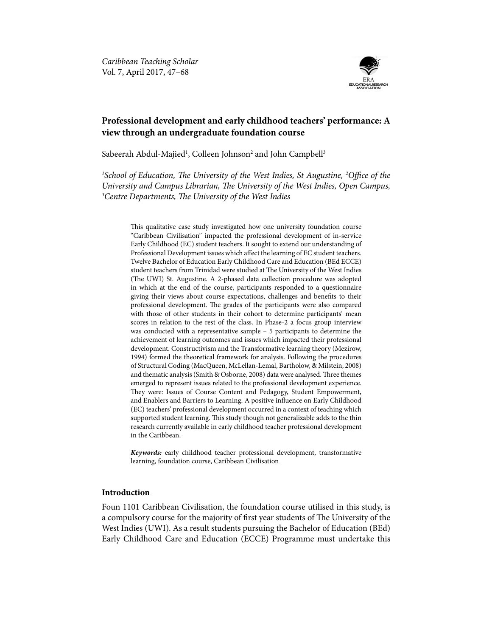

# **Professional development and early childhood teachers' performance: A view through an undergraduate foundation course**

Sabeerah Abdul-Majied<sup>1</sup>, Colleen Johnson<sup>2</sup> and John Campbell<sup>3</sup>

<sup>1</sup>School of Education, The University of the West Indies, St Augustine, <sup>2</sup>Office of the *University and Campus Librarian, The University of the West Indies, Open Campus, 3 Centre Departments, The University of the West Indies*

This qualitative case study investigated how one university foundation course "Caribbean Civilisation" impacted the professional development of in-service Early Childhood (EC) student teachers. It sought to extend our understanding of Professional Development issues which affect the learning of EC student teachers. Twelve Bachelor of Education Early Childhood Care and Education (BEd ECCE) student teachers from Trinidad were studied at The University of the West Indies (The UWI) St. Augustine. A 2-phased data collection procedure was adopted in which at the end of the course, participants responded to a questionnaire giving their views about course expectations, challenges and benefits to their professional development. The grades of the participants were also compared with those of other students in their cohort to determine participants' mean scores in relation to the rest of the class. In Phase-2 a focus group interview was conducted with a representative sample – 5 participants to determine the achievement of learning outcomes and issues which impacted their professional development. Constructivism and the Transformative learning theory (Mezirow, 1994) formed the theoretical framework for analysis. Following the procedures of Structural Coding (MacQueen, McLellan-Lemal, Bartholow, & Milstein, 2008) and thematic analysis (Smith & Osborne, 2008) data were analysed. Three themes emerged to represent issues related to the professional development experience. They were: Issues of Course Content and Pedagogy, Student Empowerment, and Enablers and Barriers to Learning. A positive influence on Early Childhood (EC) teachers' professional development occurred in a context of teaching which supported student learning. This study though not generalizable adds to the thin research currently available in early childhood teacher professional development in the Caribbean.

*Keywords:* early childhood teacher professional development, transformative learning, foundation course, Caribbean Civilisation

# **Introduction**

Foun 1101 Caribbean Civilisation, the foundation course utilised in this study, is a compulsory course for the majority of first year students of The University of the West Indies (UWI). As a result students pursuing the Bachelor of Education (BEd) Early Childhood Care and Education (ECCE) Programme must undertake this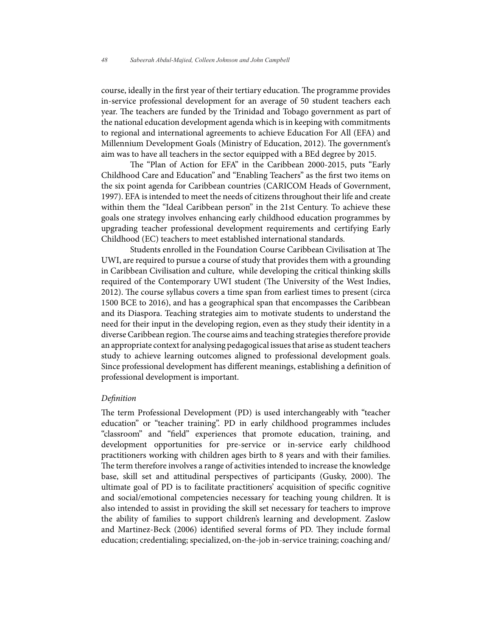course, ideally in the first year of their tertiary education. The programme provides in-service professional development for an average of 50 student teachers each year. The teachers are funded by the Trinidad and Tobago government as part of the national education development agenda which is in keeping with commitments to regional and international agreements to achieve Education For All (EFA) and Millennium Development Goals (Ministry of Education, 2012). The government's aim was to have all teachers in the sector equipped with a BEd degree by 2015.

The "Plan of Action for EFA" in the Caribbean 2000-2015, puts "Early Childhood Care and Education" and "Enabling Teachers" as the first two items on the six point agenda for Caribbean countries (CARICOM Heads of Government, 1997). EFA is intended to meet the needs of citizens throughout their life and create within them the "Ideal Caribbean person" in the 21st Century. To achieve these goals one strategy involves enhancing early childhood education programmes by upgrading teacher professional development requirements and certifying Early Childhood (EC) teachers to meet established international standards.

Students enrolled in the Foundation Course Caribbean Civilisation at The UWI, are required to pursue a course of study that provides them with a grounding in Caribbean Civilisation and culture, while developing the critical thinking skills required of the Contemporary UWI student (The University of the West Indies, 2012). The course syllabus covers a time span from earliest times to present (circa 1500 BCE to 2016), and has a geographical span that encompasses the Caribbean and its Diaspora. Teaching strategies aim to motivate students to understand the need for their input in the developing region, even as they study their identity in a diverse Caribbean region. The course aims and teaching strategies therefore provide an appropriate context for analysing pedagogical issues that arise as student teachers study to achieve learning outcomes aligned to professional development goals. Since professional development has different meanings, establishing a definition of professional development is important.

### *Definition*

The term Professional Development (PD) is used interchangeably with "teacher education" or "teacher training". PD in early childhood programmes includes "classroom" and "field" experiences that promote education, training, and development opportunities for pre-service or in-service early childhood practitioners working with children ages birth to 8 years and with their families. The term therefore involves a range of activities intended to increase the knowledge base, skill set and attitudinal perspectives of participants (Gusky, 2000). The ultimate goal of PD is to facilitate practitioners' acquisition of specific cognitive and social/emotional competencies necessary for teaching young children. It is also intended to assist in providing the skill set necessary for teachers to improve the ability of families to support children's learning and development. Zaslow and Martinez-Beck (2006) identified several forms of PD. They include formal education; credentialing; specialized, on-the-job in-service training; coaching and/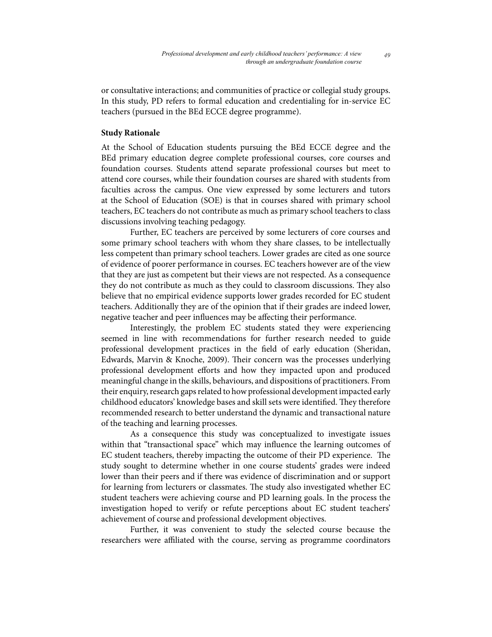or consultative interactions; and communities of practice or collegial study groups. In this study, PD refers to formal education and credentialing for in-service EC teachers (pursued in the BEd ECCE degree programme).

### **Study Rationale**

At the School of Education students pursuing the BEd ECCE degree and the BEd primary education degree complete professional courses, core courses and foundation courses. Students attend separate professional courses but meet to attend core courses, while their foundation courses are shared with students from faculties across the campus. One view expressed by some lecturers and tutors at the School of Education (SOE) is that in courses shared with primary school teachers, EC teachers do not contribute as much as primary school teachers to class discussions involving teaching pedagogy.

Further, EC teachers are perceived by some lecturers of core courses and some primary school teachers with whom they share classes, to be intellectually less competent than primary school teachers. Lower grades are cited as one source of evidence of poorer performance in courses. EC teachers however are of the view that they are just as competent but their views are not respected. As a consequence they do not contribute as much as they could to classroom discussions. They also believe that no empirical evidence supports lower grades recorded for EC student teachers. Additionally they are of the opinion that if their grades are indeed lower, negative teacher and peer influences may be affecting their performance.

Interestingly, the problem EC students stated they were experiencing seemed in line with recommendations for further research needed to guide professional development practices in the field of early education (Sheridan, Edwards, Marvin & Knoche, 2009). Their concern was the processes underlying professional development efforts and how they impacted upon and produced meaningful change in the skills, behaviours, and dispositions of practitioners. From their enquiry, research gaps related to how professional development impacted early childhood educators' knowledge bases and skill sets were identified. They therefore recommended research to better understand the dynamic and transactional nature of the teaching and learning processes.

As a consequence this study was conceptualized to investigate issues within that "transactional space" which may influence the learning outcomes of EC student teachers, thereby impacting the outcome of their PD experience. The study sought to determine whether in one course students' grades were indeed lower than their peers and if there was evidence of discrimination and or support for learning from lecturers or classmates. The study also investigated whether EC student teachers were achieving course and PD learning goals. In the process the investigation hoped to verify or refute perceptions about EC student teachers' achievement of course and professional development objectives.

Further, it was convenient to study the selected course because the researchers were affiliated with the course, serving as programme coordinators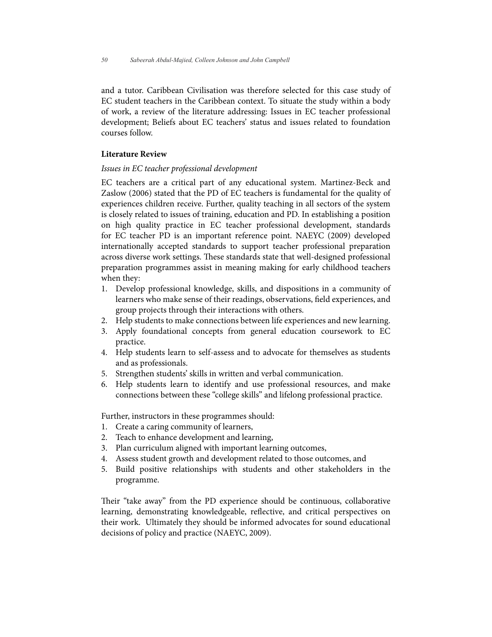and a tutor. Caribbean Civilisation was therefore selected for this case study of EC student teachers in the Caribbean context. To situate the study within a body of work, a review of the literature addressing: Issues in EC teacher professional development; Beliefs about EC teachers' status and issues related to foundation courses follow.

# **Literature Review**

### *Issues in EC teacher professional development*

EC teachers are a critical part of any educational system. Martinez-Beck and Zaslow (2006) stated that the PD of EC teachers is fundamental for the quality of experiences children receive. Further, quality teaching in all sectors of the system is closely related to issues of training, education and PD. In establishing a position on high quality practice in EC teacher professional development, standards for EC teacher PD is an important reference point. NAEYC (2009) developed internationally accepted standards to support teacher professional preparation across diverse work settings. These standards state that well-designed professional preparation programmes assist in meaning making for early childhood teachers when they:

- 1. Develop professional knowledge, skills, and dispositions in a community of learners who make sense of their readings, observations, field experiences, and group projects through their interactions with others.
- 2. Help students to make connections between life experiences and new learning.
- 3. Apply foundational concepts from general education coursework to EC practice.
- 4. Help students learn to self-assess and to advocate for themselves as students and as professionals.
- 5. Strengthen students' skills in written and verbal communication.
- 6. Help students learn to identify and use professional resources, and make connections between these "college skills" and lifelong professional practice.

Further, instructors in these programmes should:

- 1. Create a caring community of learners,
- 2. Teach to enhance development and learning,
- 3. Plan curriculum aligned with important learning outcomes,
- 4. Assess student growth and development related to those outcomes, and
- 5. Build positive relationships with students and other stakeholders in the programme.

Their "take away" from the PD experience should be continuous, collaborative learning, demonstrating knowledgeable, reflective, and critical perspectives on their work. Ultimately they should be informed advocates for sound educational decisions of policy and practice (NAEYC, 2009).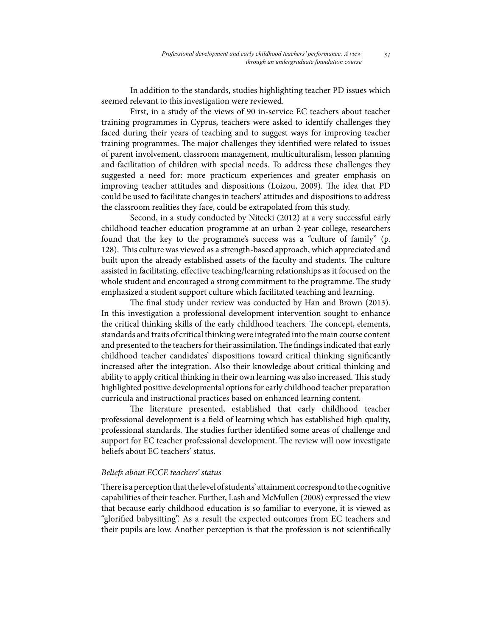In addition to the standards, studies highlighting teacher PD issues which seemed relevant to this investigation were reviewed.

First, in a study of the views of 90 in-service EC teachers about teacher training programmes in Cyprus, teachers were asked to identify challenges they faced during their years of teaching and to suggest ways for improving teacher training programmes. The major challenges they identified were related to issues of parent involvement, classroom management, multiculturalism, lesson planning and facilitation of children with special needs. To address these challenges they suggested a need for: more practicum experiences and greater emphasis on improving teacher attitudes and dispositions (Loizou, 2009). The idea that PD could be used to facilitate changes in teachers' attitudes and dispositions to address the classroom realities they face, could be extrapolated from this study.

Second, in a study conducted by Nitecki (2012) at a very successful early childhood teacher education programme at an urban 2-year college, researchers found that the key to the programme's success was a "culture of family" (p. 128). This culture was viewed as a strength-based approach, which appreciated and built upon the already established assets of the faculty and students. The culture assisted in facilitating, effective teaching/learning relationships as it focused on the whole student and encouraged a strong commitment to the programme. The study emphasized a student support culture which facilitated teaching and learning.

The final study under review was conducted by Han and Brown (2013). In this investigation a professional development intervention sought to enhance the critical thinking skills of the early childhood teachers. The concept, elements, standards and traits of critical thinking were integrated into the main course content and presented to the teachers for their assimilation. The findings indicated that early childhood teacher candidates' dispositions toward critical thinking significantly increased after the integration. Also their knowledge about critical thinking and ability to apply critical thinking in their own learning was also increased. This study highlighted positive developmental options for early childhood teacher preparation curricula and instructional practices based on enhanced learning content.

The literature presented, established that early childhood teacher professional development is a field of learning which has established high quality, professional standards. The studies further identified some areas of challenge and support for EC teacher professional development. The review will now investigate beliefs about EC teachers' status.

### *Beliefs about ECCE teachers' status*

There is a perception that the level of students' attainment correspond to the cognitive capabilities of their teacher. Further, Lash and McMullen (2008) expressed the view that because early childhood education is so familiar to everyone, it is viewed as "glorified babysitting". As a result the expected outcomes from EC teachers and their pupils are low. Another perception is that the profession is not scientifically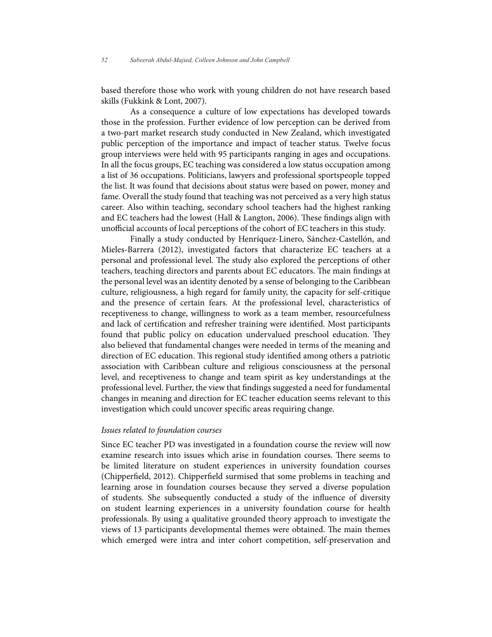based therefore those who work with young children do not have research based skills (Fukkink & Lont, 2007).

As a consequence a culture of low expectations has developed towards those in the profession. Further evidence of low perception can be derived from a two-part market research study conducted in New Zealand, which investigated public perception of the importance and impact of teacher status. Twelve focus group interviews were held with 95 participants ranging in ages and occupations. In all the focus groups, EC teaching was considered a low status occupation among a list of 36 occupations. Politicians, lawyers and professional sportspeople topped the list. It was found that decisions about status were based on power, money and fame. Overall the study found that teaching was not perceived as a very high status career. Also within teaching, secondary school teachers had the highest ranking and EC teachers had the lowest (Hall & Langton, 2006). These findings align with unofficial accounts of local perceptions of the cohort of EC teachers in this study.

Finally a study conducted by Henríquez-Linero, Sánchez-Castellón, and Mieles-Barrera (2012), investigated factors that characterize EC teachers at a personal and professional level. The study also explored the perceptions of other teachers, teaching directors and parents about EC educators. The main findings at the personal level was an identity denoted by a sense of belonging to the Caribbean culture, religiousness, a high regard for family unity, the capacity for self-critique and the presence of certain fears. At the professional level, characteristics of receptiveness to change, willingness to work as a team member, resourcefulness and lack of certification and refresher training were identified. Most participants found that public policy on education undervalued preschool education. They also believed that fundamental changes were needed in terms of the meaning and direction of EC education. This regional study identified among others a patriotic association with Caribbean culture and religious consciousness at the personal level, and receptiveness to change and team spirit as key understandings at the professional level. Further, the view that findings suggested a need for fundamental changes in meaning and direction for EC teacher education seems relevant to this investigation which could uncover specific areas requiring change.

# *Issues related to foundation courses*

Since EC teacher PD was investigated in a foundation course the review will now examine research into issues which arise in foundation courses. There seems to be limited literature on student experiences in university foundation courses (Chipperfield, 2012). Chipperfield surmised that some problems in teaching and learning arose in foundation courses because they served a diverse population of students. She subsequently conducted a study of the influence of diversity on student learning experiences in a university foundation course for health professionals. By using a qualitative grounded theory approach to investigate the views of 13 participants developmental themes were obtained. The main themes which emerged were intra and inter cohort competition, self-preservation and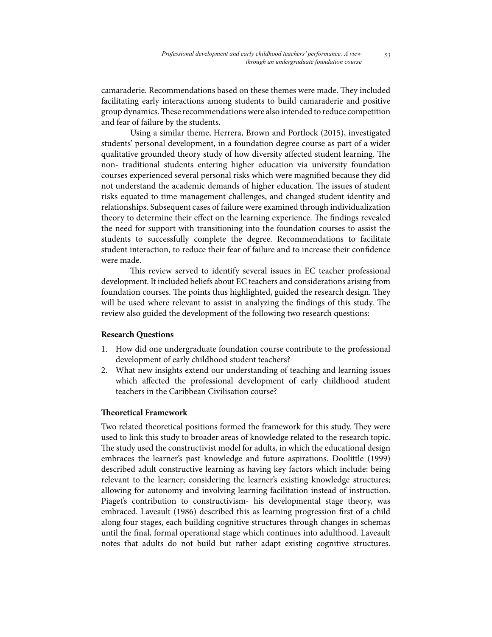camaraderie. Recommendations based on these themes were made. They included facilitating early interactions among students to build camaraderie and positive group dynamics. These recommendations were also intended to reduce competition and fear of failure by the students.

Using a similar theme, Herrera, Brown and Portlock (2015), investigated students' personal development, in a foundation degree course as part of a wider qualitative grounded theory study of how diversity affected student learning. The non- traditional students entering higher education via university foundation courses experienced several personal risks which were magnified because they did not understand the academic demands of higher education. The issues of student risks equated to time management challenges, and changed student identity and relationships. Subsequent cases of failure were examined through individualization theory to determine their effect on the learning experience. The findings revealed the need for support with transitioning into the foundation courses to assist the students to successfully complete the degree. Recommendations to facilitate student interaction, to reduce their fear of failure and to increase their confidence were made.

This review served to identify several issues in EC teacher professional development. It included beliefs about EC teachers and considerations arising from foundation courses. The points thus highlighted, guided the research design. They will be used where relevant to assist in analyzing the findings of this study. The review also guided the development of the following two research questions:

# **Research Questions**

- 1. How did one undergraduate foundation course contribute to the professional development of early childhood student teachers?
- 2. What new insights extend our understanding of teaching and learning issues which affected the professional development of early childhood student teachers in the Caribbean Civilisation course?

#### **Theoretical Framework**

Two related theoretical positions formed the framework for this study. They were used to link this study to broader areas of knowledge related to the research topic. The study used the constructivist model for adults, in which the educational design embraces the learner's past knowledge and future aspirations. Doolittle (1999) described adult constructive learning as having key factors which include: being relevant to the learner; considering the learner's existing knowledge structures; allowing for autonomy and involving learning facilitation instead of instruction. Piaget's contribution to constructivism- his developmental stage theory, was embraced. Laveault (1986) described this as learning progression first of a child along four stages, each building cognitive structures through changes in schemas until the final, formal operational stage which continues into adulthood. Laveault notes that adults do not build but rather adapt existing cognitive structures.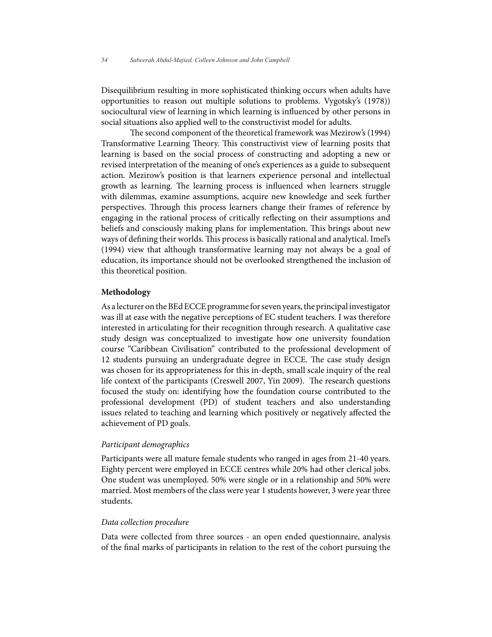Disequilibrium resulting in more sophisticated thinking occurs when adults have opportunities to reason out multiple solutions to problems. Vygotsky's (1978)) sociocultural view of learning in which learning is influenced by other persons in social situations also applied well to the constructivist model for adults.

The second component of the theoretical framework was Mezirow's (1994) Transformative Learning Theory. This constructivist view of learning posits that learning is based on the social process of constructing and adopting a new or revised interpretation of the meaning of one's experiences as a guide to subsequent action. Mezirow's position is that learners experience personal and intellectual growth as learning. The learning process is influenced when learners struggle with dilemmas, examine assumptions, acquire new knowledge and seek further perspectives. Through this process learners change their frames of reference by engaging in the rational process of critically reflecting on their assumptions and beliefs and consciously making plans for implementation. This brings about new ways of defining their worlds. This process is basically rational and analytical. Imel's (1994) view that although transformative learning may not always be a goal of education, its importance should not be overlooked strengthened the inclusion of this theoretical position.

#### **Methodology**

As a lecturer on the BEd ECCE programme for seven years, the principal investigator was ill at ease with the negative perceptions of EC student teachers. I was therefore interested in articulating for their recognition through research. A qualitative case study design was conceptualized to investigate how one university foundation course "Caribbean Civilisation" contributed to the professional development of 12 students pursuing an undergraduate degree in ECCE. The case study design was chosen for its appropriateness for this in-depth, small scale inquiry of the real life context of the participants (Creswell 2007, Yin 2009). The research questions focused the study on: identifying how the foundation course contributed to the professional development (PD) of student teachers and also understanding issues related to teaching and learning which positively or negatively affected the achievement of PD goals.

#### *Participant demographics*

Participants were all mature female students who ranged in ages from 21-40 years. Eighty percent were employed in ECCE centres while 20% had other clerical jobs. One student was unemployed. 50% were single or in a relationship and 50% were married. Most members of the class were year 1 students however, 3 were year three students.

### *Data collection procedure*

Data were collected from three sources - an open ended questionnaire, analysis of the final marks of participants in relation to the rest of the cohort pursuing the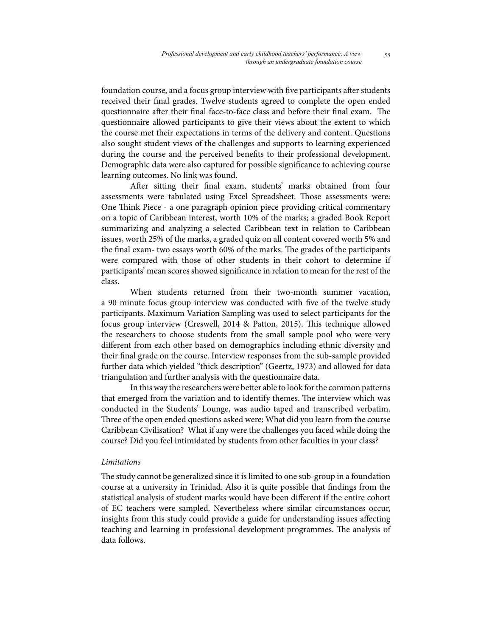foundation course, and a focus group interview with five participants after students received their final grades. Twelve students agreed to complete the open ended questionnaire after their final face-to-face class and before their final exam. The questionnaire allowed participants to give their views about the extent to which the course met their expectations in terms of the delivery and content. Questions also sought student views of the challenges and supports to learning experienced during the course and the perceived benefits to their professional development. Demographic data were also captured for possible significance to achieving course learning outcomes. No link was found.

After sitting their final exam, students' marks obtained from four assessments were tabulated using Excel Spreadsheet. Those assessments were: One Think Piece - a one paragraph opinion piece providing critical commentary on a topic of Caribbean interest, worth 10% of the marks; a graded Book Report summarizing and analyzing a selected Caribbean text in relation to Caribbean issues, worth 25% of the marks, a graded quiz on all content covered worth 5% and the final exam- two essays worth 60% of the marks. The grades of the participants were compared with those of other students in their cohort to determine if participants' mean scores showed significance in relation to mean for the rest of the class.

When students returned from their two-month summer vacation, a 90 minute focus group interview was conducted with five of the twelve study participants. Maximum Variation Sampling was used to select participants for the focus group interview (Creswell, 2014 & Patton, 2015). This technique allowed the researchers to choose students from the small sample pool who were very different from each other based on demographics including ethnic diversity and their final grade on the course. Interview responses from the sub-sample provided further data which yielded "thick description" (Geertz, 1973) and allowed for data triangulation and further analysis with the questionnaire data.

In this way the researchers were better able to look for the common patterns that emerged from the variation and to identify themes. The interview which was conducted in the Students' Lounge, was audio taped and transcribed verbatim. Three of the open ended questions asked were: What did you learn from the course Caribbean Civilisation? What if any were the challenges you faced while doing the course? Did you feel intimidated by students from other faculties in your class?

#### *Limitations*

The study cannot be generalized since it is limited to one sub-group in a foundation course at a university in Trinidad. Also it is quite possible that findings from the statistical analysis of student marks would have been different if the entire cohort of EC teachers were sampled. Nevertheless where similar circumstances occur, insights from this study could provide a guide for understanding issues affecting teaching and learning in professional development programmes. The analysis of data follows.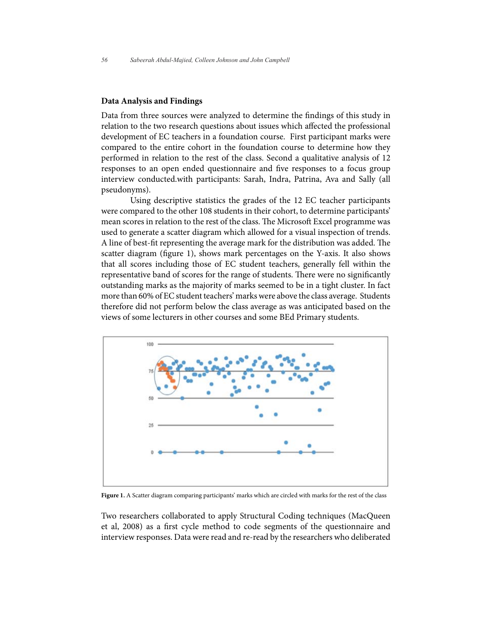#### **Data Analysis and Findings**

Data from three sources were analyzed to determine the findings of this study in relation to the two research questions about issues which affected the professional development of EC teachers in a foundation course. First participant marks were compared to the entire cohort in the foundation course to determine how they performed in relation to the rest of the class. Second a qualitative analysis of 12 responses to an open ended questionnaire and five responses to a focus group interview conducted.with participants: Sarah, Indra, Patrina, Ava and Sally (all pseudonyms).

Using descriptive statistics the grades of the 12 EC teacher participants were compared to the other 108 students in their cohort, to determine participants' mean scores in relation to the rest of the class. The Microsoft Excel programme was used to generate a scatter diagram which allowed for a visual inspection of trends. A line of best-fit representing the average mark for the distribution was added. The scatter diagram (figure 1), shows mark percentages on the Y-axis. It also shows that all scores including those of EC student teachers, generally fell within the representative band of scores for the range of students. There were no significantly outstanding marks as the majority of marks seemed to be in a tight cluster. In fact more than 60% of EC student teachers' marks were above the class average. Students therefore did not perform below the class average as was anticipated based on the views of some lecturers in other courses and some BEd Primary students.



**Figure 1.** A Scatter diagram comparing participants' marks which are circled with marks for the rest of the class

Two researchers collaborated to apply Structural Coding techniques (MacQueen et al, 2008) as a first cycle method to code segments of the questionnaire and interview responses. Data were read and re-read by the researchers who deliberated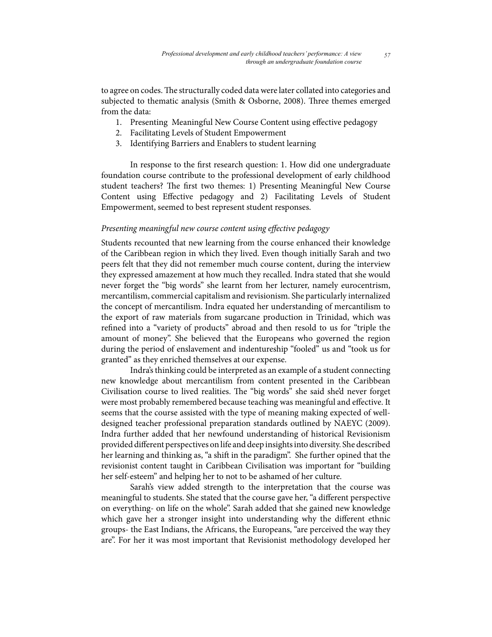to agree on codes. The structurally coded data were later collated into categories and subjected to thematic analysis (Smith & Osborne, 2008). Three themes emerged from the data:

- 1. Presenting Meaningful New Course Content using effective pedagogy
- 2. Facilitating Levels of Student Empowerment
- 3. Identifying Barriers and Enablers to student learning

In response to the first research question: 1. How did one undergraduate foundation course contribute to the professional development of early childhood student teachers? The first two themes: 1) Presenting Meaningful New Course Content using Effective pedagogy and 2) Facilitating Levels of Student Empowerment, seemed to best represent student responses.

## *Presenting meaningful new course content using effective pedagogy*

Students recounted that new learning from the course enhanced their knowledge of the Caribbean region in which they lived. Even though initially Sarah and two peers felt that they did not remember much course content, during the interview they expressed amazement at how much they recalled. Indra stated that she would never forget the "big words" she learnt from her lecturer, namely eurocentrism, mercantilism, commercial capitalism and revisionism. She particularly internalized the concept of mercantilism. Indra equated her understanding of mercantilism to the export of raw materials from sugarcane production in Trinidad, which was refined into a "variety of products" abroad and then resold to us for "triple the amount of money". She believed that the Europeans who governed the region during the period of enslavement and indentureship "fooled" us and "took us for granted" as they enriched themselves at our expense.

Indra's thinking could be interpreted as an example of a student connecting new knowledge about mercantilism from content presented in the Caribbean Civilisation course to lived realities. The "big words" she said she'd never forget were most probably remembered because teaching was meaningful and effective. It seems that the course assisted with the type of meaning making expected of welldesigned teacher professional preparation standards outlined by NAEYC (2009). Indra further added that her newfound understanding of historical Revisionism provided different perspectives on life and deep insights into diversity. She described her learning and thinking as, "a shift in the paradigm". She further opined that the revisionist content taught in Caribbean Civilisation was important for "building her self-esteem" and helping her to not to be ashamed of her culture.

Sarah's view added strength to the interpretation that the course was meaningful to students. She stated that the course gave her, "a different perspective on everything- on life on the whole". Sarah added that she gained new knowledge which gave her a stronger insight into understanding why the different ethnic groups- the East Indians, the Africans, the Europeans, "are perceived the way they are". For her it was most important that Revisionist methodology developed her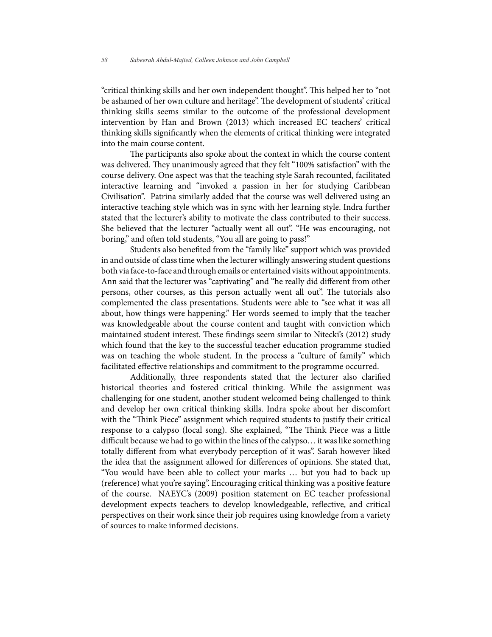"critical thinking skills and her own independent thought". This helped her to "not be ashamed of her own culture and heritage". The development of students' critical thinking skills seems similar to the outcome of the professional development intervention by Han and Brown (2013) which increased EC teachers' critical thinking skills significantly when the elements of critical thinking were integrated into the main course content.

The participants also spoke about the context in which the course content was delivered. They unanimously agreed that they felt "100% satisfaction" with the course delivery. One aspect was that the teaching style Sarah recounted, facilitated interactive learning and "invoked a passion in her for studying Caribbean Civilisation". Patrina similarly added that the course was well delivered using an interactive teaching style which was in sync with her learning style. Indra further stated that the lecturer's ability to motivate the class contributed to their success. She believed that the lecturer "actually went all out". "He was encouraging, not boring," and often told students, "You all are going to pass!"

Students also benefited from the "family like" support which was provided in and outside of class time when the lecturer willingly answering student questions both via face-to-face and through emails or entertained visits without appointments. Ann said that the lecturer was "captivating" and "he really did different from other persons, other courses, as this person actually went all out". The tutorials also complemented the class presentations. Students were able to "see what it was all about, how things were happening." Her words seemed to imply that the teacher was knowledgeable about the course content and taught with conviction which maintained student interest. These findings seem similar to Nitecki's (2012) study which found that the key to the successful teacher education programme studied was on teaching the whole student. In the process a "culture of family" which facilitated effective relationships and commitment to the programme occurred.

Additionally, three respondents stated that the lecturer also clarified historical theories and fostered critical thinking. While the assignment was challenging for one student, another student welcomed being challenged to think and develop her own critical thinking skills. Indra spoke about her discomfort with the "Think Piece" assignment which required students to justify their critical response to a calypso (local song). She explained, "The Think Piece was a little difficult because we had to go within the lines of the calypso… it was like something totally different from what everybody perception of it was". Sarah however liked the idea that the assignment allowed for differences of opinions. She stated that, "You would have been able to collect your marks … but you had to back up (reference) what you're saying". Encouraging critical thinking was a positive feature of the course. NAEYC's (2009) position statement on EC teacher professional development expects teachers to develop knowledgeable, reflective, and critical perspectives on their work since their job requires using knowledge from a variety of sources to make informed decisions.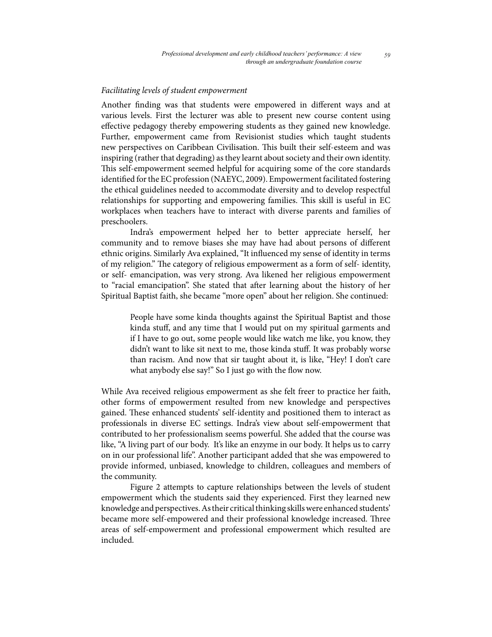### *Facilitating levels of student empowerment*

Another finding was that students were empowered in different ways and at various levels. First the lecturer was able to present new course content using effective pedagogy thereby empowering students as they gained new knowledge. Further, empowerment came from Revisionist studies which taught students new perspectives on Caribbean Civilisation. This built their self-esteem and was inspiring (rather that degrading) as they learnt about society and their own identity. This self-empowerment seemed helpful for acquiring some of the core standards identified for the EC profession (NAEYC, 2009). Empowerment facilitated fostering the ethical guidelines needed to accommodate diversity and to develop respectful relationships for supporting and empowering families. This skill is useful in EC workplaces when teachers have to interact with diverse parents and families of preschoolers.

Indra's empowerment helped her to better appreciate herself, her community and to remove biases she may have had about persons of different ethnic origins. Similarly Ava explained, "It influenced my sense of identity in terms of my religion." The category of religious empowerment as a form of self- identity, or self- emancipation, was very strong. Ava likened her religious empowerment to "racial emancipation". She stated that after learning about the history of her Spiritual Baptist faith, she became "more open" about her religion. She continued:

People have some kinda thoughts against the Spiritual Baptist and those kinda stuff, and any time that I would put on my spiritual garments and if I have to go out, some people would like watch me like, you know, they didn't want to like sit next to me, those kinda stuff. It was probably worse than racism. And now that sir taught about it, is like, "Hey! I don't care what anybody else say!" So I just go with the flow now.

While Ava received religious empowerment as she felt freer to practice her faith, other forms of empowerment resulted from new knowledge and perspectives gained. These enhanced students' self-identity and positioned them to interact as professionals in diverse EC settings. Indra's view about self-empowerment that contributed to her professionalism seems powerful. She added that the course was like, "A living part of our body. It's like an enzyme in our body. It helps us to carry on in our professional life". Another participant added that she was empowered to provide informed, unbiased, knowledge to children, colleagues and members of the community.

Figure 2 attempts to capture relationships between the levels of student empowerment which the students said they experienced. First they learned new knowledge and perspectives. As their critical thinking skills were enhanced students' became more self-empowered and their professional knowledge increased. Three areas of self-empowerment and professional empowerment which resulted are included.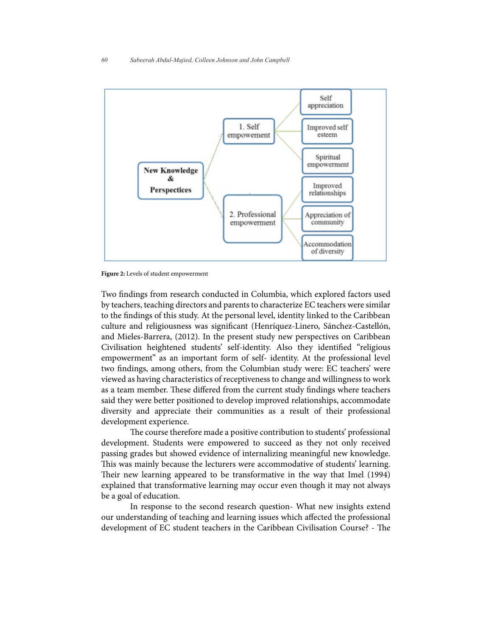

**Figure 2:** Levels of student empowerment

Two findings from research conducted in Columbia, which explored factors used by teachers, teaching directors and parents to characterize EC teachers were similar to the findings of this study. At the personal level, identity linked to the Caribbean culture and religiousness was significant (Henríquez-Linero, Sánchez-Castellón, and Mieles-Barrera, (2012). In the present study new perspectives on Caribbean Civilisation heightened students' self-identity. Also they identified "religious empowerment" as an important form of self- identity. At the professional level two findings, among others, from the Columbian study were: EC teachers' were viewed as having characteristics of receptiveness to change and willingness to work as a team member. These differed from the current study findings where teachers said they were better positioned to develop improved relationships, accommodate diversity and appreciate their communities as a result of their professional development experience.

The course therefore made a positive contribution to students' professional development. Students were empowered to succeed as they not only received passing grades but showed evidence of internalizing meaningful new knowledge. This was mainly because the lecturers were accommodative of students' learning. Their new learning appeared to be transformative in the way that Imel (1994) explained that transformative learning may occur even though it may not always be a goal of education.

In response to the second research question- What new insights extend our understanding of teaching and learning issues which affected the professional development of EC student teachers in the Caribbean Civilisation Course? - The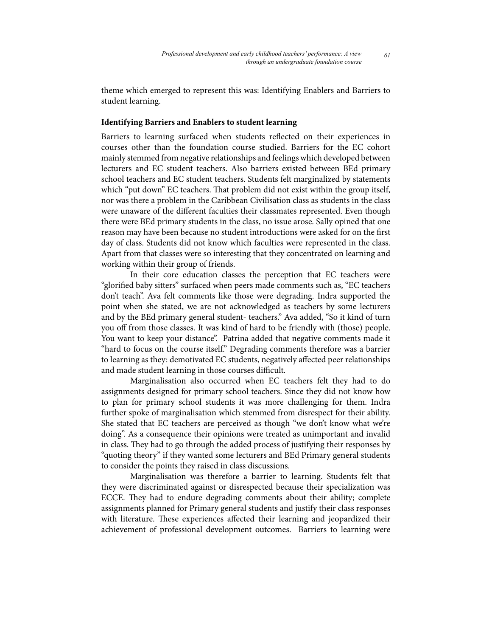theme which emerged to represent this was: Identifying Enablers and Barriers to student learning.

# **Identifying Barriers and Enablers to student learning**

Barriers to learning surfaced when students reflected on their experiences in courses other than the foundation course studied. Barriers for the EC cohort mainly stemmed from negative relationships and feelings which developed between lecturers and EC student teachers. Also barriers existed between BEd primary school teachers and EC student teachers. Students felt marginalized by statements which "put down" EC teachers. That problem did not exist within the group itself, nor was there a problem in the Caribbean Civilisation class as students in the class were unaware of the different faculties their classmates represented. Even though there were BEd primary students in the class, no issue arose. Sally opined that one reason may have been because no student introductions were asked for on the first day of class. Students did not know which faculties were represented in the class. Apart from that classes were so interesting that they concentrated on learning and working within their group of friends.

In their core education classes the perception that EC teachers were "glorified baby sitters" surfaced when peers made comments such as, "EC teachers don't teach". Ava felt comments like those were degrading. Indra supported the point when she stated, we are not acknowledged as teachers by some lecturers and by the BEd primary general student- teachers." Ava added, "So it kind of turn you off from those classes. It was kind of hard to be friendly with (those) people. You want to keep your distance". Patrina added that negative comments made it "hard to focus on the course itself." Degrading comments therefore was a barrier to learning as they: demotivated EC students, negatively affected peer relationships and made student learning in those courses difficult.

Marginalisation also occurred when EC teachers felt they had to do assignments designed for primary school teachers. Since they did not know how to plan for primary school students it was more challenging for them. Indra further spoke of marginalisation which stemmed from disrespect for their ability. She stated that EC teachers are perceived as though "we don't know what we're doing". As a consequence their opinions were treated as unimportant and invalid in class. They had to go through the added process of justifying their responses by "quoting theory" if they wanted some lecturers and BEd Primary general students to consider the points they raised in class discussions.

Marginalisation was therefore a barrier to learning. Students felt that they were discriminated against or disrespected because their specialization was ECCE. They had to endure degrading comments about their ability; complete assignments planned for Primary general students and justify their class responses with literature. These experiences affected their learning and jeopardized their achievement of professional development outcomes. Barriers to learning were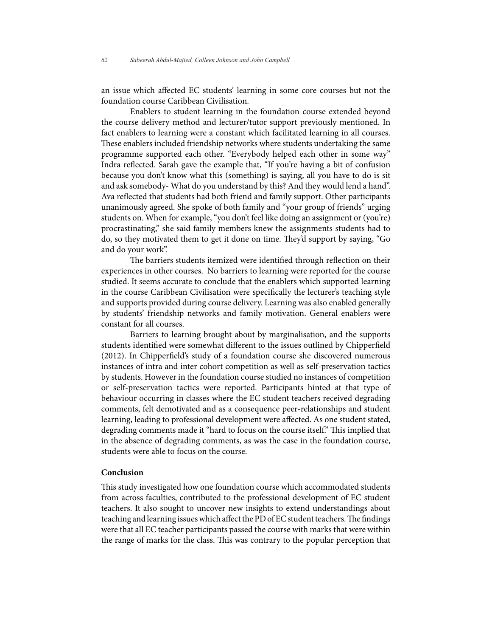an issue which affected EC students' learning in some core courses but not the foundation course Caribbean Civilisation.

Enablers to student learning in the foundation course extended beyond the course delivery method and lecturer/tutor support previously mentioned. In fact enablers to learning were a constant which facilitated learning in all courses. These enablers included friendship networks where students undertaking the same programme supported each other. "Everybody helped each other in some way" Indra reflected. Sarah gave the example that, "If you're having a bit of confusion because you don't know what this (something) is saying, all you have to do is sit and ask somebody- What do you understand by this? And they would lend a hand". Ava reflected that students had both friend and family support. Other participants unanimously agreed. She spoke of both family and "your group of friends" urging students on. When for example, "you don't feel like doing an assignment or (you're) procrastinating," she said family members knew the assignments students had to do, so they motivated them to get it done on time. They'd support by saying, "Go and do your work".

The barriers students itemized were identified through reflection on their experiences in other courses. No barriers to learning were reported for the course studied. It seems accurate to conclude that the enablers which supported learning in the course Caribbean Civilisation were specifically the lecturer's teaching style and supports provided during course delivery. Learning was also enabled generally by students' friendship networks and family motivation. General enablers were constant for all courses.

Barriers to learning brought about by marginalisation, and the supports students identified were somewhat different to the issues outlined by Chipperfield (2012). In Chipperfield's study of a foundation course she discovered numerous instances of intra and inter cohort competition as well as self-preservation tactics by students. However in the foundation course studied no instances of competition or self-preservation tactics were reported. Participants hinted at that type of behaviour occurring in classes where the EC student teachers received degrading comments, felt demotivated and as a consequence peer-relationships and student learning, leading to professional development were affected. As one student stated, degrading comments made it "hard to focus on the course itself." This implied that in the absence of degrading comments, as was the case in the foundation course, students were able to focus on the course.

# **Conclusion**

This study investigated how one foundation course which accommodated students from across faculties, contributed to the professional development of EC student teachers. It also sought to uncover new insights to extend understandings about teaching and learning issues which affect the PD of EC student teachers. The findings were that all EC teacher participants passed the course with marks that were within the range of marks for the class. This was contrary to the popular perception that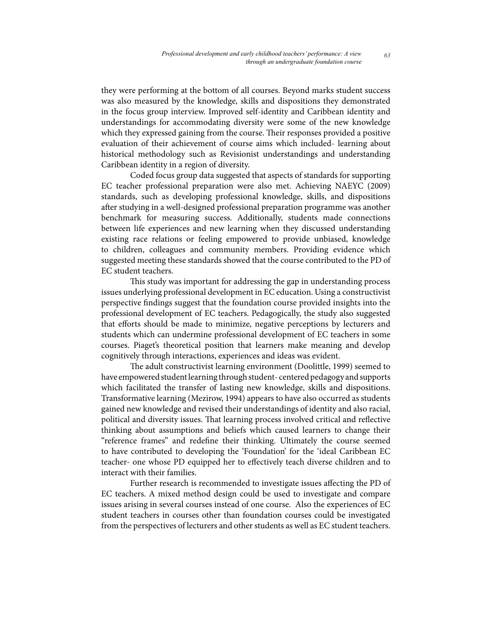they were performing at the bottom of all courses. Beyond marks student success was also measured by the knowledge, skills and dispositions they demonstrated in the focus group interview. Improved self-identity and Caribbean identity and understandings for accommodating diversity were some of the new knowledge which they expressed gaining from the course. Their responses provided a positive evaluation of their achievement of course aims which included- learning about historical methodology such as Revisionist understandings and understanding Caribbean identity in a region of diversity.

Coded focus group data suggested that aspects of standards for supporting EC teacher professional preparation were also met. Achieving NAEYC (2009) standards, such as developing professional knowledge, skills, and dispositions after studying in a well-designed professional preparation programme was another benchmark for measuring success. Additionally, students made connections between life experiences and new learning when they discussed understanding existing race relations or feeling empowered to provide unbiased, knowledge to children, colleagues and community members. Providing evidence which suggested meeting these standards showed that the course contributed to the PD of EC student teachers.

This study was important for addressing the gap in understanding process issues underlying professional development in EC education. Using a constructivist perspective findings suggest that the foundation course provided insights into the professional development of EC teachers. Pedagogically, the study also suggested that efforts should be made to minimize, negative perceptions by lecturers and students which can undermine professional development of EC teachers in some courses. Piaget's theoretical position that learners make meaning and develop cognitively through interactions, experiences and ideas was evident.

The adult constructivist learning environment (Doolittle, 1999) seemed to have empowered student learning through student- centered pedagogy and supports which facilitated the transfer of lasting new knowledge, skills and dispositions. Transformative learning (Mezirow, 1994) appears to have also occurred as students gained new knowledge and revised their understandings of identity and also racial, political and diversity issues. That learning process involved critical and reflective thinking about assumptions and beliefs which caused learners to change their "reference frames" and redefine their thinking. Ultimately the course seemed to have contributed to developing the 'Foundation' for the 'ideal Caribbean EC teacher- one whose PD equipped her to effectively teach diverse children and to interact with their families.

Further research is recommended to investigate issues affecting the PD of EC teachers. A mixed method design could be used to investigate and compare issues arising in several courses instead of one course. Also the experiences of EC student teachers in courses other than foundation courses could be investigated from the perspectives of lecturers and other students as well as EC student teachers.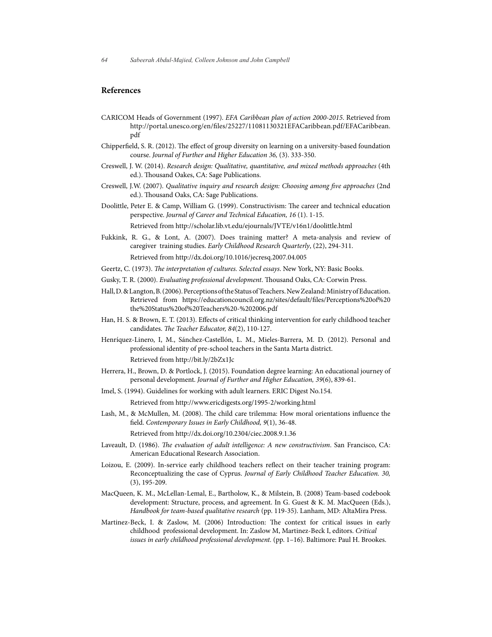#### **References**

- CARICOM Heads of Government (1997). *EFA Caribbean plan of action 2000-2015*. Retrieved from http://portal.unesco.org/en/files/25227/11081130321EFACaribbean.pdf/EFACaribbean. pdf
- Chipperfield, S. R. (2012). The effect of group diversity on learning on a university-based foundation course. *Journal of Further and Higher Education 36,* (3). 333-350.
- Creswell, J. W. (2014). *Research design: Qualitative, quantitative, and mixed methods approaches* (4th ed.). Thousand Oakes, CA: Sage Publications.
- Creswell, J.W. (2007). *Qualitative inquiry and research design: Choosing among five approaches* (2nd ed.). Thousand Oaks, CA: Sage Publications.
- Doolittle, Peter E. & Camp, William G. (1999). Constructivism: The career and technical education perspective. *Journal of Career and Technical Education, 16* (1). 1-15.

Retrieved from http://scholar.lib.vt.edu/ejournals/JVTE/v16n1/doolittle.html

- Fukkink, R. G., & Lont, A. (2007). Does training matter? A meta-analysis and review of caregiver training studies. *Early Childhood Research Quarterly*, (22), 294-311. Retrieved from http://dx.doi.org/10.1016/jecresq.2007.04.005
- Geertz, C. (1973). *The interpretation of cultures. Selected essays*. New York, NY: Basic Books.
- Gusky, T. R. (2000). *Evaluating professional development*. Thousand Oaks, CA: Corwin Press.
- Hall, D. & Langton, B. (2006). Perceptions of the Status of Teachers. New Zealand: Ministry of Education. Retrieved from https://educationcouncil.org.nz/sites/default/files/Perceptions%20of%20 the%20Status%20of%20Teachers%20-%202006.pdf
- Han, H. S. & Brown, E. T. (2013). Effects of critical thinking intervention for early childhood teacher candidates. *The Teacher Educator, 84*(2), 110-127.
- Henríquez-Linero, I, M., Sánchez-Castellón, L. M., Mieles-Barrera, M. D. (2012). Personal and professional identity of pre-school teachers in the Santa Marta district. Retrieved from http://bit.ly/2bZx1Jc
- Herrera, H., Brown, D. & Portlock, J. (2015). Foundation degree learning: An educational journey of personal development. *Journal of Further and Higher Education, 39*(6), 839-61.
- Imel, S. (1994). Guidelines for working with adult learners. ERIC Digest No.154.

Retrieved from http://www.ericdigests.org/1995-2/working.html

Lash, M., & McMullen, M. (2008). The child care trilemma: How moral orientations influence the field. *Contemporary Issues in Early Childhood, 9*(1), 36-48.

Retrieved from http://dx.doi.org/10.2304/ciec.2008.9.1.36

- Laveault, D. (1986). *The evaluation of adult intelligence: A new constructivism*. San Francisco, CA: American Educational Research Association.
- Loizou, E. (2009). In-service early childhood teachers reflect on their teacher training program: Reconceptualizing the case of Cyprus. *Journal of Early Childhood Teacher Education. 30,*  (3), 195-209.
- MacQueen, K. M., McLellan-Lemal, E., Bartholow, K., & Milstein, B. (2008) Team-based codebook development: Structure, process, and agreement. In G. Guest & K. M. MacQueen (Eds.), *Handbook for team-based qualitative research* (pp. 119-35). Lanham, MD: AltaMira Press.
- Martinez-Beck, I. & Zaslow, M. (2006) Introduction: The context for critical issues in early childhood professional development. In: Zaslow M, Martinez-Beck I, editors. *Critical issues in early childhood professional development.* (pp. 1–16). Baltimore: Paul H. Brookes.